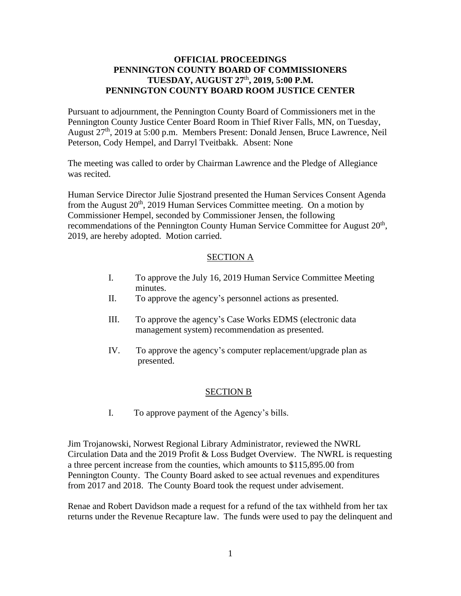# **OFFICIAL PROCEEDINGS PENNINGTON COUNTY BOARD OF COMMISSIONERS TUESDAY, AUGUST 27**th **, 2019, 5:00 P.M. PENNINGTON COUNTY BOARD ROOM JUSTICE CENTER**

Pursuant to adjournment, the Pennington County Board of Commissioners met in the Pennington County Justice Center Board Room in Thief River Falls, MN, on Tuesday, August 27<sup>th</sup>, 2019 at 5:00 p.m. Members Present: Donald Jensen, Bruce Lawrence, Neil Peterson, Cody Hempel, and Darryl Tveitbakk. Absent: None

The meeting was called to order by Chairman Lawrence and the Pledge of Allegiance was recited.

Human Service Director Julie Sjostrand presented the Human Services Consent Agenda from the August  $20<sup>th</sup>$ , 2019 Human Services Committee meeting. On a motion by Commissioner Hempel, seconded by Commissioner Jensen, the following recommendations of the Pennington County Human Service Committee for August 20<sup>th</sup>, 2019, are hereby adopted. Motion carried.

## SECTION A

- I. To approve the July 16, 2019 Human Service Committee Meeting minutes.
- II. To approve the agency's personnel actions as presented.
- III. To approve the agency's Case Works EDMS (electronic data management system) recommendation as presented.
- IV. To approve the agency's computer replacement/upgrade plan as presented.

## SECTION B

I. To approve payment of the Agency's bills.

Jim Trojanowski, Norwest Regional Library Administrator, reviewed the NWRL Circulation Data and the 2019 Profit & Loss Budget Overview. The NWRL is requesting a three percent increase from the counties, which amounts to \$115,895.00 from Pennington County. The County Board asked to see actual revenues and expenditures from 2017 and 2018. The County Board took the request under advisement.

Renae and Robert Davidson made a request for a refund of the tax withheld from her tax returns under the Revenue Recapture law. The funds were used to pay the delinquent and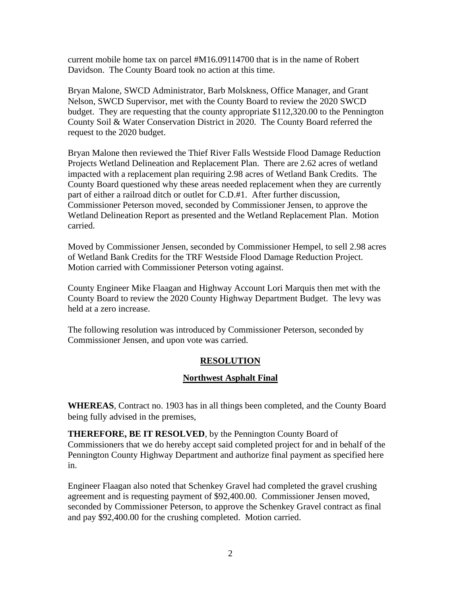current mobile home tax on parcel #M16.09114700 that is in the name of Robert Davidson. The County Board took no action at this time.

Bryan Malone, SWCD Administrator, Barb Molskness, Office Manager, and Grant Nelson, SWCD Supervisor, met with the County Board to review the 2020 SWCD budget. They are requesting that the county appropriate \$112,320.00 to the Pennington County Soil & Water Conservation District in 2020. The County Board referred the request to the 2020 budget.

Bryan Malone then reviewed the Thief River Falls Westside Flood Damage Reduction Projects Wetland Delineation and Replacement Plan. There are 2.62 acres of wetland impacted with a replacement plan requiring 2.98 acres of Wetland Bank Credits. The County Board questioned why these areas needed replacement when they are currently part of either a railroad ditch or outlet for C.D.#1. After further discussion, Commissioner Peterson moved, seconded by Commissioner Jensen, to approve the Wetland Delineation Report as presented and the Wetland Replacement Plan. Motion carried.

Moved by Commissioner Jensen, seconded by Commissioner Hempel, to sell 2.98 acres of Wetland Bank Credits for the TRF Westside Flood Damage Reduction Project. Motion carried with Commissioner Peterson voting against.

County Engineer Mike Flaagan and Highway Account Lori Marquis then met with the County Board to review the 2020 County Highway Department Budget. The levy was held at a zero increase.

The following resolution was introduced by Commissioner Peterson, seconded by Commissioner Jensen, and upon vote was carried.

## **RESOLUTION**

## **Northwest Asphalt Final**

**WHEREAS**, Contract no. 1903 has in all things been completed, and the County Board being fully advised in the premises,

**THEREFORE, BE IT RESOLVED**, by the Pennington County Board of Commissioners that we do hereby accept said completed project for and in behalf of the Pennington County Highway Department and authorize final payment as specified here in.

Engineer Flaagan also noted that Schenkey Gravel had completed the gravel crushing agreement and is requesting payment of \$92,400.00. Commissioner Jensen moved, seconded by Commissioner Peterson, to approve the Schenkey Gravel contract as final and pay \$92,400.00 for the crushing completed. Motion carried.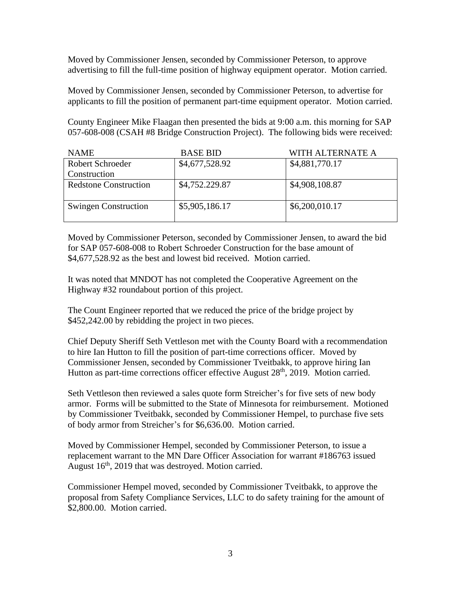Moved by Commissioner Jensen, seconded by Commissioner Peterson, to approve advertising to fill the full-time position of highway equipment operator. Motion carried.

Moved by Commissioner Jensen, seconded by Commissioner Peterson, to advertise for applicants to fill the position of permanent part-time equipment operator. Motion carried.

County Engineer Mike Flaagan then presented the bids at 9:00 a.m. this morning for SAP 057-608-008 (CSAH #8 Bridge Construction Project). The following bids were received:

| <b>NAME</b>                  | <b>BASE BID</b> | WITH ALTERNATE A |  |
|------------------------------|-----------------|------------------|--|
| Robert Schroeder             | \$4,677,528.92  | \$4,881,770.17   |  |
| Construction                 |                 |                  |  |
| <b>Redstone Construction</b> | \$4,752.229.87  | \$4,908,108.87   |  |
|                              |                 |                  |  |
| <b>Swingen Construction</b>  | \$5,905,186.17  | \$6,200,010.17   |  |
|                              |                 |                  |  |

Moved by Commissioner Peterson, seconded by Commissioner Jensen, to award the bid for SAP 057-608-008 to Robert Schroeder Construction for the base amount of \$4,677,528.92 as the best and lowest bid received. Motion carried.

It was noted that MNDOT has not completed the Cooperative Agreement on the Highway #32 roundabout portion of this project.

The Count Engineer reported that we reduced the price of the bridge project by \$452,242.00 by rebidding the project in two pieces.

Chief Deputy Sheriff Seth Vettleson met with the County Board with a recommendation to hire Ian Hutton to fill the position of part-time corrections officer. Moved by Commissioner Jensen, seconded by Commissioner Tveitbakk, to approve hiring Ian Hutton as part-time corrections officer effective August 28<sup>th</sup>, 2019. Motion carried.

Seth Vettleson then reviewed a sales quote form Streicher's for five sets of new body armor. Forms will be submitted to the State of Minnesota for reimbursement. Motioned by Commissioner Tveitbakk, seconded by Commissioner Hempel, to purchase five sets of body armor from Streicher's for \$6,636.00. Motion carried.

Moved by Commissioner Hempel, seconded by Commissioner Peterson, to issue a replacement warrant to the MN Dare Officer Association for warrant #186763 issued August 16<sup>th</sup>, 2019 that was destroyed. Motion carried.

Commissioner Hempel moved, seconded by Commissioner Tveitbakk, to approve the proposal from Safety Compliance Services, LLC to do safety training for the amount of \$2,800.00. Motion carried.